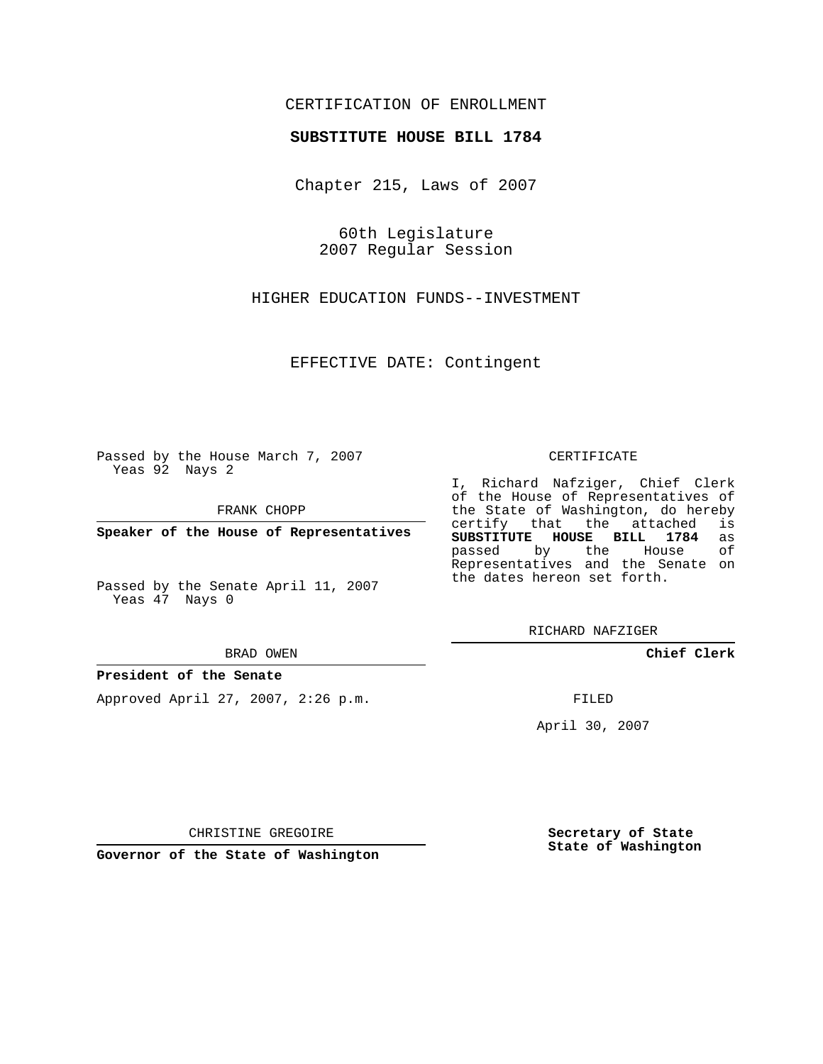## CERTIFICATION OF ENROLLMENT

## **SUBSTITUTE HOUSE BILL 1784**

Chapter 215, Laws of 2007

60th Legislature 2007 Regular Session

HIGHER EDUCATION FUNDS--INVESTMENT

EFFECTIVE DATE: Contingent

Passed by the House March 7, 2007 Yeas 92 Nays 2

FRANK CHOPP

**Speaker of the House of Representatives**

Passed by the Senate April 11, 2007 Yeas 47 Nays 0

#### BRAD OWEN

### **President of the Senate**

Approved April 27, 2007, 2:26 p.m.

#### CERTIFICATE

I, Richard Nafziger, Chief Clerk of the House of Representatives of the State of Washington, do hereby<br>certify that the attached is certify that the attached **SUBSTITUTE HOUSE BILL 1784** as passed by the House Representatives and the Senate on the dates hereon set forth.

RICHARD NAFZIGER

**Chief Clerk**

FILED

April 30, 2007

CHRISTINE GREGOIRE

**Governor of the State of Washington**

**Secretary of State State of Washington**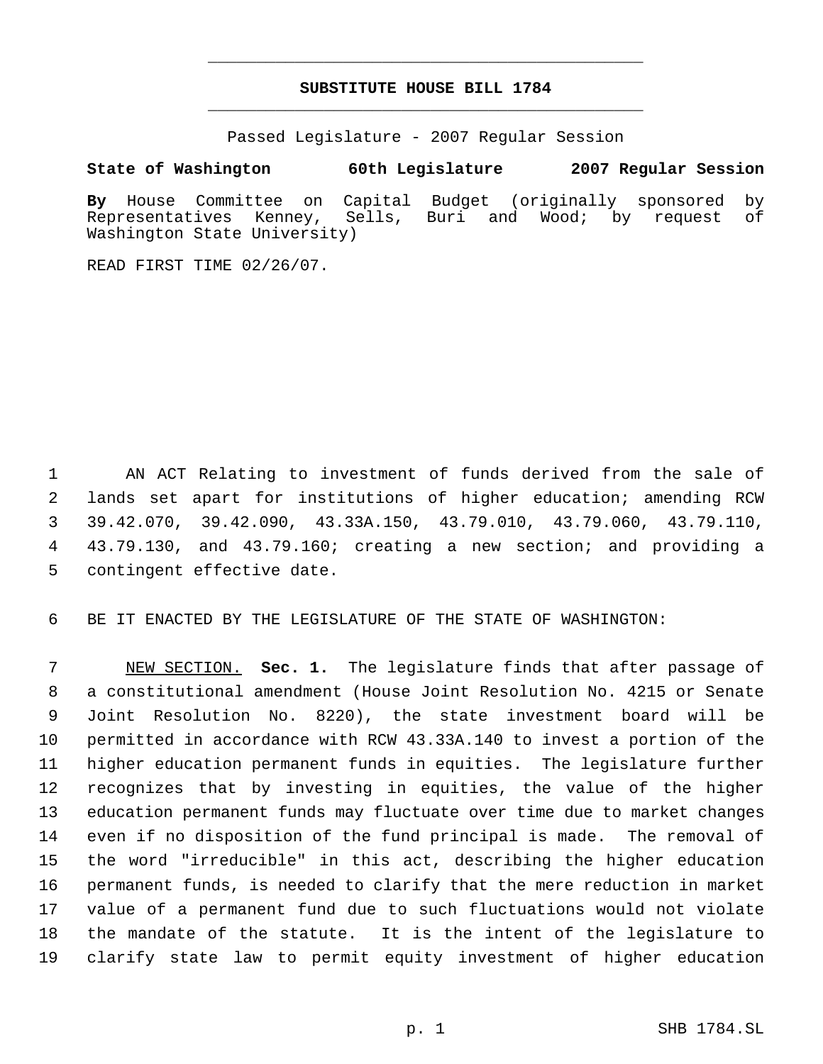# **SUBSTITUTE HOUSE BILL 1784** \_\_\_\_\_\_\_\_\_\_\_\_\_\_\_\_\_\_\_\_\_\_\_\_\_\_\_\_\_\_\_\_\_\_\_\_\_\_\_\_\_\_\_\_\_

\_\_\_\_\_\_\_\_\_\_\_\_\_\_\_\_\_\_\_\_\_\_\_\_\_\_\_\_\_\_\_\_\_\_\_\_\_\_\_\_\_\_\_\_\_

Passed Legislature - 2007 Regular Session

**State of Washington 60th Legislature 2007 Regular Session**

**By** House Committee on Capital Budget (originally sponsored by Representatives Kenney, Sells, Buri and Wood; by request of Washington State University)

READ FIRST TIME 02/26/07.

 AN ACT Relating to investment of funds derived from the sale of lands set apart for institutions of higher education; amending RCW 39.42.070, 39.42.090, 43.33A.150, 43.79.010, 43.79.060, 43.79.110, 43.79.130, and 43.79.160; creating a new section; and providing a contingent effective date.

BE IT ENACTED BY THE LEGISLATURE OF THE STATE OF WASHINGTON:

 NEW SECTION. **Sec. 1.** The legislature finds that after passage of a constitutional amendment (House Joint Resolution No. 4215 or Senate Joint Resolution No. 8220), the state investment board will be permitted in accordance with RCW 43.33A.140 to invest a portion of the higher education permanent funds in equities. The legislature further recognizes that by investing in equities, the value of the higher education permanent funds may fluctuate over time due to market changes even if no disposition of the fund principal is made. The removal of the word "irreducible" in this act, describing the higher education permanent funds, is needed to clarify that the mere reduction in market value of a permanent fund due to such fluctuations would not violate the mandate of the statute. It is the intent of the legislature to clarify state law to permit equity investment of higher education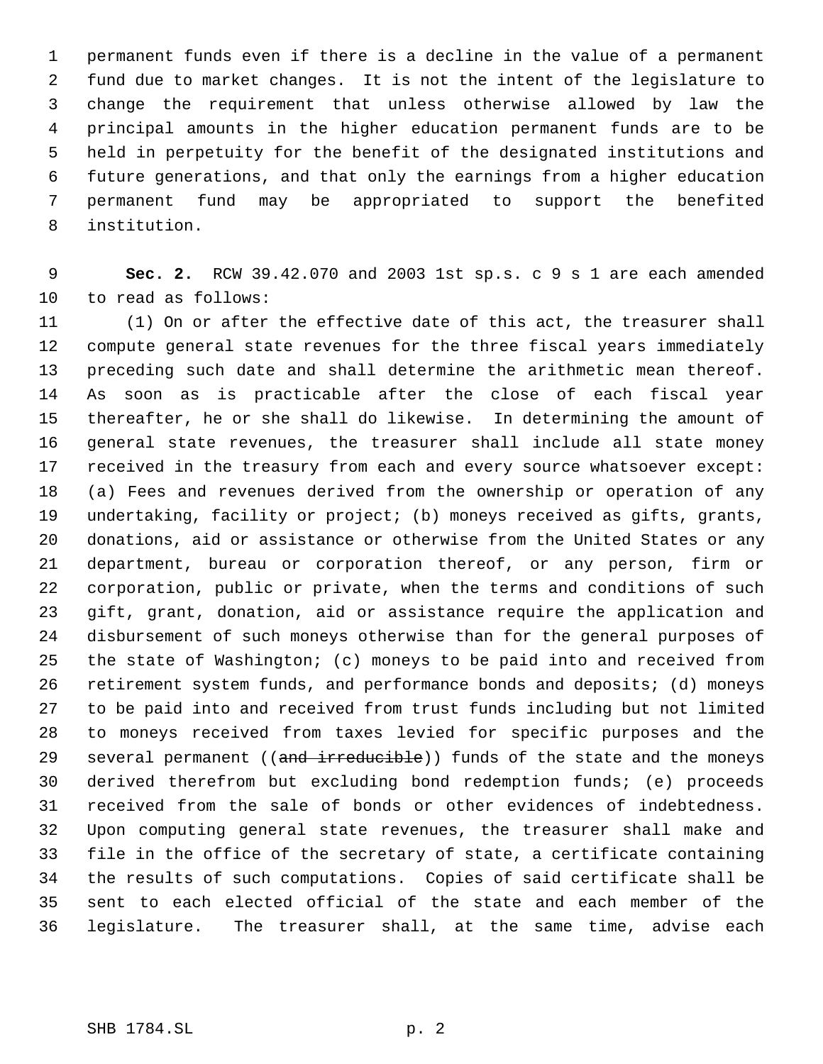permanent funds even if there is a decline in the value of a permanent fund due to market changes. It is not the intent of the legislature to change the requirement that unless otherwise allowed by law the principal amounts in the higher education permanent funds are to be held in perpetuity for the benefit of the designated institutions and future generations, and that only the earnings from a higher education permanent fund may be appropriated to support the benefited institution.

 **Sec. 2.** RCW 39.42.070 and 2003 1st sp.s. c 9 s 1 are each amended to read as follows:

 (1) On or after the effective date of this act, the treasurer shall compute general state revenues for the three fiscal years immediately preceding such date and shall determine the arithmetic mean thereof. As soon as is practicable after the close of each fiscal year thereafter, he or she shall do likewise. In determining the amount of general state revenues, the treasurer shall include all state money received in the treasury from each and every source whatsoever except: (a) Fees and revenues derived from the ownership or operation of any undertaking, facility or project; (b) moneys received as gifts, grants, donations, aid or assistance or otherwise from the United States or any department, bureau or corporation thereof, or any person, firm or corporation, public or private, when the terms and conditions of such gift, grant, donation, aid or assistance require the application and disbursement of such moneys otherwise than for the general purposes of the state of Washington; (c) moneys to be paid into and received from retirement system funds, and performance bonds and deposits; (d) moneys to be paid into and received from trust funds including but not limited to moneys received from taxes levied for specific purposes and the 29 several permanent ((and irreducible)) funds of the state and the moneys derived therefrom but excluding bond redemption funds; (e) proceeds received from the sale of bonds or other evidences of indebtedness. Upon computing general state revenues, the treasurer shall make and file in the office of the secretary of state, a certificate containing the results of such computations. Copies of said certificate shall be sent to each elected official of the state and each member of the legislature. The treasurer shall, at the same time, advise each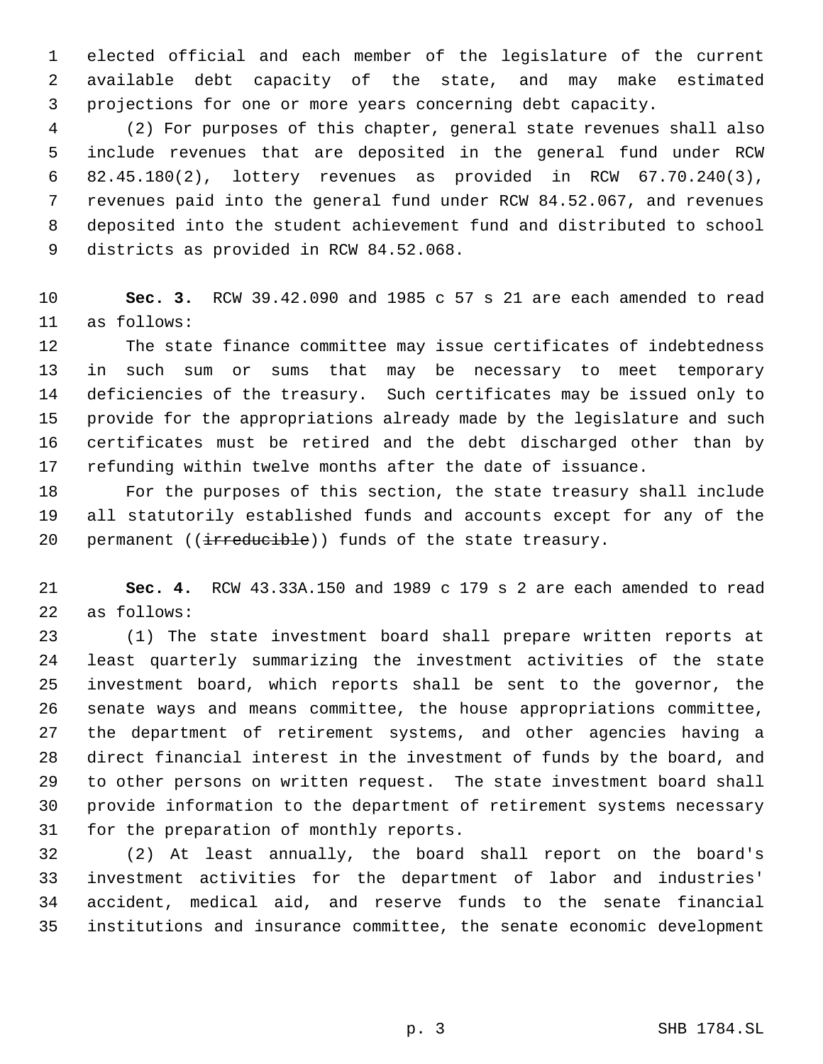elected official and each member of the legislature of the current available debt capacity of the state, and may make estimated projections for one or more years concerning debt capacity.

 (2) For purposes of this chapter, general state revenues shall also include revenues that are deposited in the general fund under RCW 82.45.180(2), lottery revenues as provided in RCW 67.70.240(3), revenues paid into the general fund under RCW 84.52.067, and revenues deposited into the student achievement fund and distributed to school districts as provided in RCW 84.52.068.

 **Sec. 3.** RCW 39.42.090 and 1985 c 57 s 21 are each amended to read as follows:

 The state finance committee may issue certificates of indebtedness in such sum or sums that may be necessary to meet temporary deficiencies of the treasury. Such certificates may be issued only to provide for the appropriations already made by the legislature and such certificates must be retired and the debt discharged other than by refunding within twelve months after the date of issuance.

 For the purposes of this section, the state treasury shall include all statutorily established funds and accounts except for any of the 20 permanent ((irreducible)) funds of the state treasury.

 **Sec. 4.** RCW 43.33A.150 and 1989 c 179 s 2 are each amended to read as follows:

 (1) The state investment board shall prepare written reports at least quarterly summarizing the investment activities of the state investment board, which reports shall be sent to the governor, the senate ways and means committee, the house appropriations committee, the department of retirement systems, and other agencies having a direct financial interest in the investment of funds by the board, and to other persons on written request. The state investment board shall provide information to the department of retirement systems necessary for the preparation of monthly reports.

 (2) At least annually, the board shall report on the board's investment activities for the department of labor and industries' accident, medical aid, and reserve funds to the senate financial institutions and insurance committee, the senate economic development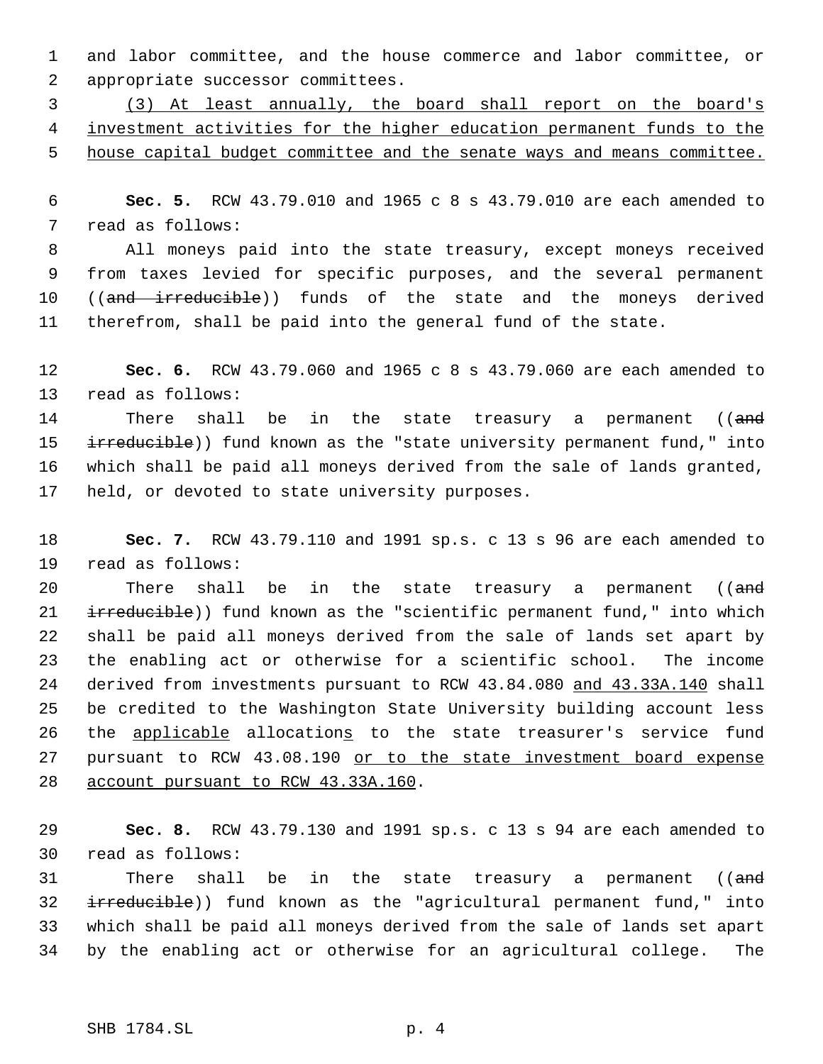and labor committee, and the house commerce and labor committee, or appropriate successor committees.

 (3) At least annually, the board shall report on the board's investment activities for the higher education permanent funds to the 5 house capital budget committee and the senate ways and means committee.

 **Sec. 5.** RCW 43.79.010 and 1965 c 8 s 43.79.010 are each amended to read as follows:

 All moneys paid into the state treasury, except moneys received from taxes levied for specific purposes, and the several permanent 10 ((and irreducible)) funds of the state and the moneys derived therefrom, shall be paid into the general fund of the state.

 **Sec. 6.** RCW 43.79.060 and 1965 c 8 s 43.79.060 are each amended to read as follows:

14 There shall be in the state treasury a permanent ((and 15 irreducible)) fund known as the "state university permanent fund," into which shall be paid all moneys derived from the sale of lands granted, held, or devoted to state university purposes.

 **Sec. 7.** RCW 43.79.110 and 1991 sp.s. c 13 s 96 are each amended to read as follows:

20 There shall be in the state treasury a permanent ((and 21 irreducible)) fund known as the "scientific permanent fund," into which shall be paid all moneys derived from the sale of lands set apart by the enabling act or otherwise for a scientific school. The income derived from investments pursuant to RCW 43.84.080 and 43.33A.140 shall be credited to the Washington State University building account less the applicable allocations to the state treasurer's service fund 27 pursuant to RCW 43.08.190 or to the state investment board expense 28 account pursuant to RCW 43.33A.160.

 **Sec. 8.** RCW 43.79.130 and 1991 sp.s. c 13 s 94 are each amended to read as follows:

31 There shall be in the state treasury a permanent ((and 32 irreducible)) fund known as the "agricultural permanent fund," into which shall be paid all moneys derived from the sale of lands set apart by the enabling act or otherwise for an agricultural college. The